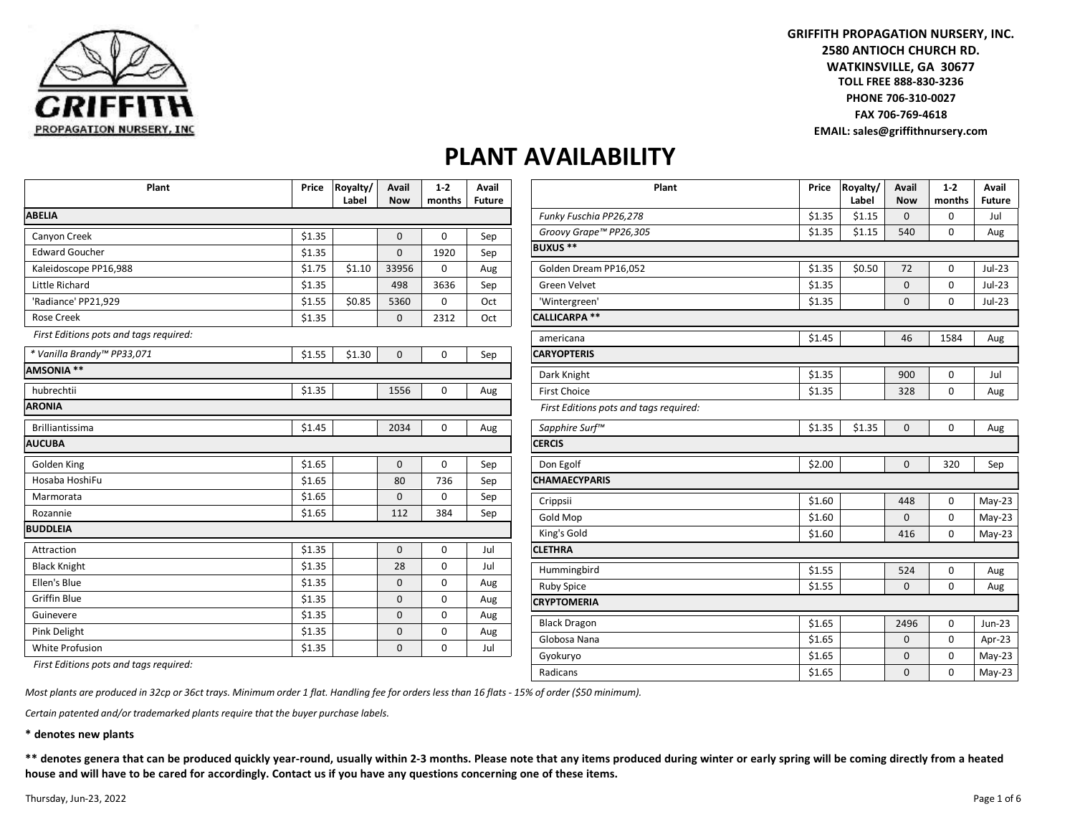

**GRIFFITH PROPAGATION NURSERY, INC. 2580 ANTIOCH CHURCH RD. TOLL FREE 888-830-3236 WATKINSVILLE, GA 30677 PHONE 706-310-0027 FAX 706-769-4618 EMAIL: sales@griffithnursery.com**

## **PLANT AVAILABILITY**

| Plant                                  | Price  | Royalty/<br>Label | Avail<br><b>Now</b> | $1-2$<br>months | Avail<br><b>Future</b> |
|----------------------------------------|--------|-------------------|---------------------|-----------------|------------------------|
| <b>ABELIA</b>                          |        |                   |                     |                 |                        |
| Canyon Creek                           | \$1.35 |                   | $\mathbf 0$         | 0               | Sep                    |
| <b>Edward Goucher</b>                  | \$1.35 |                   | $\mathbf 0$         | 1920            | Sep                    |
| Kaleidoscope PP16,988                  | \$1.75 | \$1.10            | 33956               | 0               | Aug                    |
| Little Richard                         | \$1.35 |                   | 498                 | 3636            | Sep                    |
| 'Radiance' PP21,929                    | \$1.55 | \$0.85            | 5360                | 0               | Oct                    |
| <b>Rose Creek</b>                      | \$1.35 |                   | $\mathbf 0$         | 2312            | Oct                    |
| First Editions pots and tags required: |        |                   |                     |                 |                        |
| * Vanilla Brandy™ PP33,071             | \$1.55 | \$1.30            | $\mathbf 0$         | $\mathbf 0$     | Sep                    |
| <b>AMSONIA **</b>                      |        |                   |                     |                 |                        |
| hubrechtii                             | \$1.35 |                   | 1556                | 0               | Aug                    |
| <b>ARONIA</b>                          |        |                   |                     |                 |                        |
| <b>Brilliantissima</b>                 | \$1.45 |                   | 2034                | $\Omega$        | Aug                    |
| <b>AUCUBA</b>                          |        |                   |                     |                 |                        |
| Golden King                            | \$1.65 |                   | $\mathbf 0$         | 0               | Sep                    |
| Hosaba HoshiFu                         | \$1.65 |                   | 80                  | 736             | Sep                    |
| Marmorata                              | \$1.65 |                   | 0                   | 0               | Sep                    |
| Rozannie                               | \$1.65 |                   | 112                 | 384             | Sep                    |
| <b>BUDDLEIA</b>                        |        |                   |                     |                 |                        |
| Attraction                             | \$1.35 |                   | $\mathbf 0$         | 0               | Jul                    |
| <b>Black Knight</b>                    | \$1.35 |                   | 28                  | 0               | Jul                    |
| Ellen's Blue                           | \$1.35 |                   | $\mathbf 0$         | 0               | Aug                    |
| <b>Griffin Blue</b>                    | \$1.35 |                   | $\mathbf 0$         | 0               | Aug                    |
| Guinevere                              | \$1.35 |                   | $\mathbf 0$         | 0               | Aug                    |
| Pink Delight                           | \$1.35 |                   | $\mathbf 0$         | 0               | Aug                    |
| White Profusion                        | \$1.35 |                   | $\mathbf 0$         | $\mathbf 0$     | Jul                    |

| Plant                                  | Price  | Royalty/<br>Label | Avail<br><b>Now</b> | $1 - 2$<br>months | Avail<br><b>Future</b> |
|----------------------------------------|--------|-------------------|---------------------|-------------------|------------------------|
| Funky Fuschia PP26,278                 | \$1.35 | \$1.15            | $\mathbf 0$         | 0                 | Jul                    |
| Groovy Grape™ PP26,305                 | \$1.35 | \$1.15            | 540                 | $\mathbf 0$       | Aug                    |
| <b>BUXUS**</b>                         |        |                   |                     |                   |                        |
| Golden Dream PP16,052                  | \$1.35 | \$0.50            | 72                  | 0                 | $Jul-23$               |
| <b>Green Velvet</b>                    | \$1.35 |                   | $\mathbf 0$         | $\mathbf 0$       | $Jul-23$               |
| 'Wintergreen'                          | \$1.35 |                   | 0                   | $\mathbf 0$       | $Jul-23$               |
| CALLICARPA **                          |        |                   |                     |                   |                        |
| americana                              | \$1.45 |                   | 46                  | 1584              | Aug                    |
| <b>CARYOPTERIS</b>                     |        |                   |                     |                   |                        |
| Dark Knight                            | \$1.35 |                   | 900                 | 0                 | Jul                    |
| <b>First Choice</b>                    | \$1.35 |                   | 328                 | 0                 | Aug                    |
| First Editions pots and tags required: |        |                   |                     |                   |                        |
| Sapphire Surf™                         | \$1.35 | \$1.35            | $\mathbf 0$         | $\mathbf 0$       | Aug                    |
| <b>CERCIS</b>                          |        |                   |                     |                   |                        |
| Don Egolf                              | \$2.00 |                   | $\Omega$            | 320               | Sep                    |
| <b>CHAMAECYPARIS</b>                   |        |                   |                     |                   |                        |
| Crippsii                               | \$1.60 |                   | 448                 | 0                 | $May-23$               |
| Gold Mop                               | \$1.60 |                   | $\Omega$            | $\mathbf 0$       | $May-23$               |
| King's Gold                            | \$1.60 |                   | 416                 | $\mathbf 0$       | $May-23$               |
| <b>CLETHRA</b>                         |        |                   |                     |                   |                        |
| Hummingbird                            | \$1.55 |                   | 524                 | $\mathbf 0$       | Aug                    |
| <b>Ruby Spice</b>                      | \$1.55 |                   | $\mathbf 0$         | 0                 | Aug                    |
| <b>CRYPTOMERIA</b>                     |        |                   |                     |                   |                        |
| <b>Black Dragon</b>                    | \$1.65 |                   | 2496                | $\mathbf 0$       | Jun-23                 |
| Globosa Nana                           | \$1.65 |                   | $\Omega$            | $\Omega$          | Apr-23                 |
| Gyokuryo                               | \$1.65 |                   | $\mathbf 0$         | $\mathbf 0$       | $May-23$               |
| Radicans                               | \$1.65 |                   | $\mathbf 0$         | $\mathbf 0$       | $May-23$               |

*First Editions pots and tags required:*

*Most plants are produced in 32cp or 36ct trays. Minimum order 1 flat. Handling fee for orders less than 16 flats - 15% of order (\$50 minimum).*

*Certain patented and/or trademarked plants require that the buyer purchase labels.*

**\* denotes new plants**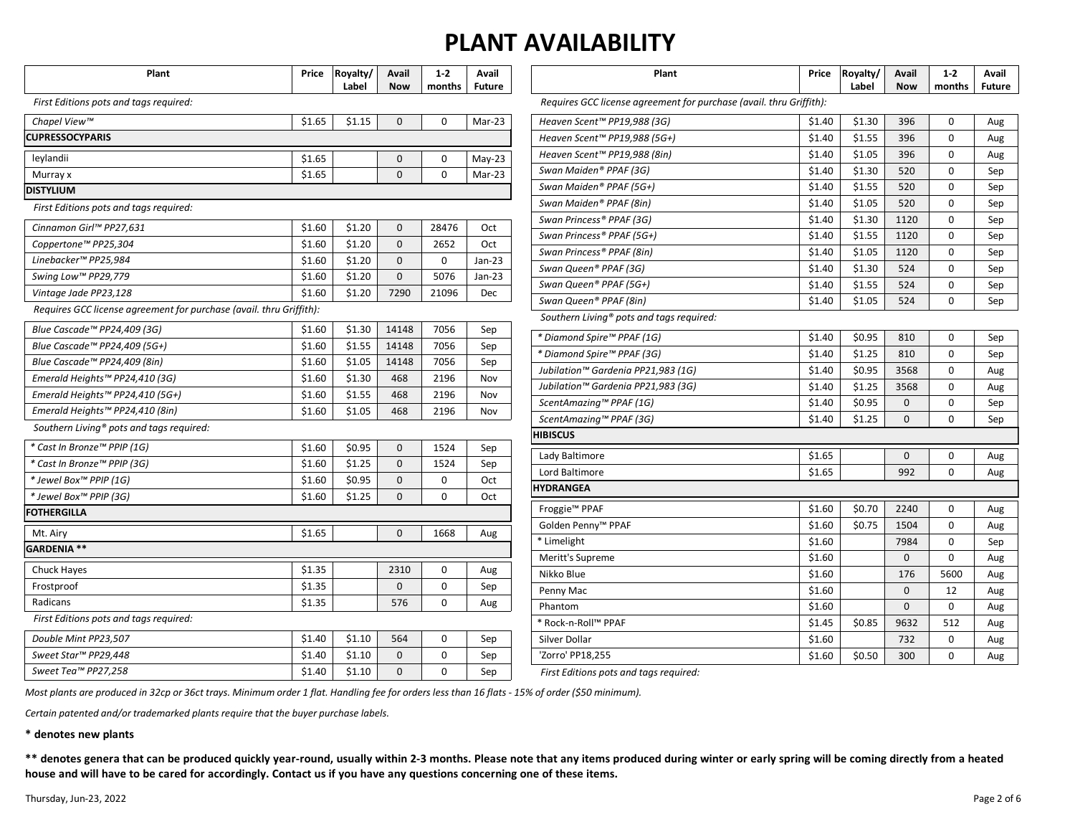| Plant                                                               | Price  | Royalty/<br>Label | Avail<br><b>Now</b> | $1-2$<br>months | Avail<br><b>Future</b> |
|---------------------------------------------------------------------|--------|-------------------|---------------------|-----------------|------------------------|
| First Editions pots and tags required:                              |        |                   |                     |                 |                        |
| Chapel View™                                                        | \$1.65 | \$1.15            | 0                   | $\mathbf 0$     | Mar-23                 |
| <b>CUPRESSOCYPARIS</b>                                              |        |                   |                     |                 |                        |
| leylandii                                                           | \$1.65 |                   | 0                   | 0               | $May-23$               |
| Murray x                                                            | \$1.65 |                   | 0                   | 0               | Mar-23                 |
| <b>DISTYLIUM</b>                                                    |        |                   |                     |                 |                        |
| First Editions pots and tags required:                              |        |                   |                     |                 |                        |
| Cinnamon Girl™ PP27,631                                             | \$1.60 | \$1.20            | 0                   | 28476           | Oct                    |
| Coppertone™ PP25,304                                                | \$1.60 | \$1.20            | 0                   | 2652            | Oct                    |
| Linebacker™ PP25,984                                                | \$1.60 | \$1.20            | 0                   | 0               | $Jan-23$               |
| Swing Low™ PP29,779                                                 | \$1.60 | \$1.20            | 0                   | 5076            | $Jan-23$               |
| Vintage Jade PP23,128                                               | \$1.60 | \$1.20            | 7290                | 21096           | Dec                    |
| Requires GCC license agreement for purchase (avail. thru Griffith): |        |                   |                     |                 |                        |
| Blue Cascade™ PP24,409 (3G)                                         | \$1.60 | \$1.30            | 14148               | 7056            | Sep                    |
| Blue Cascade™ PP24,409 (5G+)                                        | \$1.60 | \$1.55            | 14148               | 7056            | Sep                    |
| Blue Cascade™ PP24,409 (8in)                                        | \$1.60 | \$1.05            | 14148               | 7056            | Sep                    |
| Emerald Heights™ PP24,410 (3G)                                      | \$1.60 | \$1.30            | 468                 | 2196            | Nov                    |
| Emerald Heights™ PP24,410 (5G+)                                     | \$1.60 | \$1.55            | 468                 | 2196            | Nov                    |
| Emerald Heights™ PP24,410 (8in)                                     | \$1.60 | \$1.05            | 468                 | 2196            | Nov                    |
| Southern Living <sup>®</sup> pots and tags required:                |        |                   |                     |                 |                        |
| * Cast In Bronze™ PPIP (1G)                                         | \$1.60 | \$0.95            | 0                   | 1524            | Sep                    |
| * Cast In Bronze™ PPIP (3G)                                         | \$1.60 | \$1.25            | 0                   | 1524            | Sep                    |
| * Jewel Box™ PPIP (1G)                                              | \$1.60 | \$0.95            | 0                   | 0               | Oct                    |
| * Jewel Box™ PPIP (3G)                                              | \$1.60 | \$1.25            | 0                   | 0               | Oct                    |
| <b>FOTHERGILLA</b>                                                  |        |                   |                     |                 |                        |
| Mt. Airy                                                            | \$1.65 |                   | $\Omega$            | 1668            | Aug                    |
| GARDENIA **                                                         |        |                   |                     |                 |                        |
| <b>Chuck Hayes</b>                                                  | \$1.35 |                   | 2310                | $\Omega$        | Aug                    |
| Frostproof                                                          | \$1.35 |                   | 0                   | 0               | Sep                    |
| Radicans                                                            | \$1.35 |                   | 576                 | 0               | Aug                    |
| First Editions pots and tags required:                              |        |                   |                     |                 |                        |
| Double Mint PP23,507                                                | \$1.40 | \$1.10            | 564                 | 0               | Sep                    |
| Sweet Star™ PP29,448                                                | \$1.40 | \$1.10            | 0                   | 0               | Sep                    |
| Sweet Tea™ PP27,258                                                 | \$1.40 | \$1.10            | 0                   | 0               | Sep                    |
|                                                                     |        |                   |                     |                 |                        |

| Plant                                                               | Price  | Royalty/ | Avail      | 1-2      | Avail         |
|---------------------------------------------------------------------|--------|----------|------------|----------|---------------|
|                                                                     |        | Label    | <b>Now</b> | months   | <b>Future</b> |
| Requires GCC license agreement for purchase (avail. thru Griffith): |        |          |            |          |               |
| Heaven Scent™ PP19,988 (3G)                                         | \$1.40 | \$1.30   | 396        | 0        | Aug           |
| Heaven Scent™ PP19,988 (5G+)                                        | \$1.40 | \$1.55   | 396        | 0        | Aug           |
| Heaven Scent™ PP19,988 (8in)                                        | \$1.40 | \$1.05   | 396        | 0        | Aug           |
| Swan Maiden® PPAF (3G)                                              | \$1.40 | \$1.30   | 520        | 0        | Sep           |
| Swan Maiden® PPAF (5G+)                                             | \$1.40 | \$1.55   | 520        | 0        | Sep           |
| Swan Maiden® PPAF (8in)                                             | \$1.40 | \$1.05   | 520        | 0        | Sep           |
| Swan Princess® PPAF (3G)                                            | \$1.40 | \$1.30   | 1120       | 0        | Sep           |
| Swan Princess® PPAF (5G+)                                           | \$1.40 | \$1.55   | 1120       | 0        | Sep           |
| Swan Princess® PPAF (8in)                                           | \$1.40 | \$1.05   | 1120       | 0        | Sep           |
| Swan Queen® PPAF (3G)                                               | \$1.40 | \$1.30   | 524        | 0        | Sep           |
| Swan Queen® PPAF (5G+)                                              | \$1.40 | \$1.55   | 524        | 0        | Sep           |
| Swan Queen® PPAF (8in)                                              | \$1.40 | \$1.05   | 524        | 0        | Sep           |
| Southern Living <sup>®</sup> pots and tags required:                |        |          |            |          |               |
| * Diamond Spire™ PPAF (1G)                                          | \$1.40 | \$0.95   | 810        | 0        | Sep           |
| * Diamond Spire™ PPAF (3G)                                          | \$1.40 | \$1.25   | 810        | 0        | Sep           |
| Jubilation™ Gardenia PP21,983 (1G)                                  | \$1.40 | \$0.95   | 3568       | 0        | Aug           |
| Jubilation™ Gardenia PP21,983 (3G)                                  | \$1.40 | \$1.25   | 3568       | $\Omega$ | Aug           |
| ScentAmazing™ PPAF (1G)                                             | \$1.40 | \$0.95   | 0          | $\Omega$ | Sep           |
| ScentAmazing™ PPAF (3G)                                             | \$1.40 | \$1.25   | 0          | 0        | Sep           |
| HIBISCUS                                                            |        |          |            |          |               |
| Lady Baltimore                                                      | \$1.65 |          | $\Omega$   | $\Omega$ | Aug           |
| Lord Baltimore                                                      | \$1.65 |          | 992        | 0        | Aug           |
| HYDRANGEA                                                           |        |          |            |          |               |
| Froggie™ PPAF                                                       | \$1.60 | \$0.70   | 2240       | 0        | Aug           |
| Golden Penny <sup>™</sup> PPAF                                      | \$1.60 | \$0.75   | 1504       | 0        | Aug           |
| * Limelight                                                         | \$1.60 |          | 7984       | 0        | Sep           |
| Meritt's Supreme                                                    | \$1.60 |          | 0          | 0        | Aug           |
| Nikko Blue                                                          | \$1.60 |          | 176        | 5600     | Aug           |
| Penny Mac                                                           | \$1.60 |          | 0          | 12       | Aug           |
| Phantom                                                             | \$1.60 |          | 0          | 0        | Aug           |
| * Rock-n-Roll™ PPAF                                                 | \$1.45 | \$0.85   | 9632       | 512      | Aug           |
| Silver Dollar                                                       | \$1.60 |          | 732        | 0        | Aug           |
| 'Zorro' PP18.255                                                    | \$1.60 | \$0.50   | 300        | 0        | Aug           |

*First Editions pots and tags required:*

*Most plants are produced in 32cp or 36ct trays. Minimum order 1 flat. Handling fee for orders less than 16 flats - 15% of order (\$50 minimum).*

*Certain patented and/or trademarked plants require that the buyer purchase labels.*

#### **\* denotes new plants**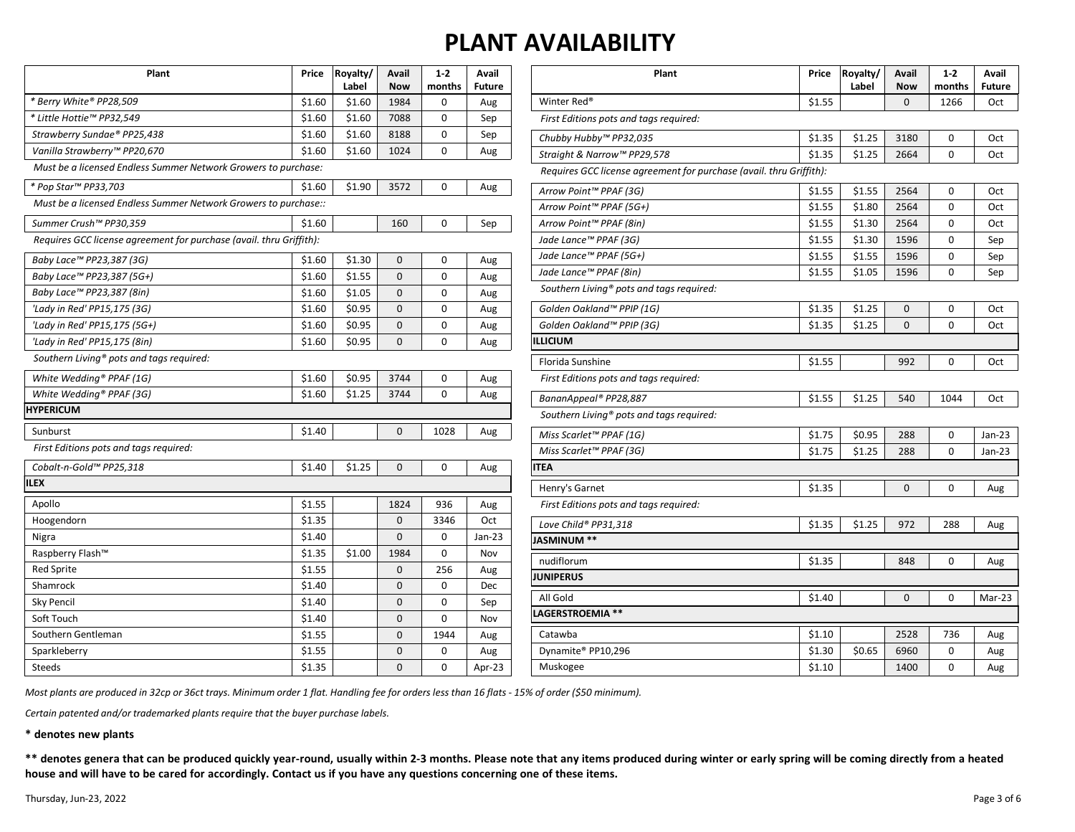| Plant                                                               | Price  | Royalty/<br>Label | Avail<br><b>Now</b> | $1 - 2$<br>months | Avail<br><b>Future</b> |
|---------------------------------------------------------------------|--------|-------------------|---------------------|-------------------|------------------------|
| * Berry White® PP28,509                                             | \$1.60 | \$1.60            | 1984                | 0                 | Aug                    |
| * Little Hottie™ PP32,549                                           | \$1.60 | \$1.60            | 7088                | 0                 | Sep                    |
| Strawberry Sundae® PP25,438                                         | \$1.60 | \$1.60            | 8188                | $\Omega$          | Sep                    |
| Vanilla Strawberry™ PP20,670                                        | \$1.60 | \$1.60            | 1024                | 0                 | Aug                    |
| Must be a licensed Endless Summer Network Growers to purchase:      |        |                   |                     |                   |                        |
| * Pop Star™ PP33,703                                                | \$1.60 | \$1.90            | 3572                | 0                 | Aug                    |
| Must be a licensed Endless Summer Network Growers to purchase::     |        |                   |                     |                   |                        |
| Summer Crush™ PP30,359                                              | \$1.60 |                   | 160                 | 0                 | Sep                    |
| Requires GCC license agreement for purchase (avail. thru Griffith): |        |                   |                     |                   |                        |
| Baby Lace™ PP23,387 (3G)                                            | \$1.60 | \$1.30            | 0                   | 0                 | Aug                    |
| Baby Lace™ PP23,387 (5G+)                                           | \$1.60 | \$1.55            | $\Omega$            | $\Omega$          | Aug                    |
| Baby Lace™ PP23,387 (8in)                                           | \$1.60 | \$1.05            | 0                   | 0                 | Aug                    |
| 'Lady in Red' PP15,175 (3G)                                         | \$1.60 | \$0.95            | 0                   | 0                 | Aug                    |
| 'Lady in Red' PP15,175 (5G+)                                        | \$1.60 | \$0.95            | 0                   | 0                 | Aug                    |
| 'Lady in Red' PP15,175 (8in)                                        | \$1.60 | \$0.95            | 0                   | 0                 | Aug                    |
| Southern Living <sup>®</sup> pots and tags required:                |        |                   |                     |                   |                        |
| White Wedding® PPAF (1G)                                            | \$1.60 | \$0.95            | 3744                | 0                 | Aug                    |
| White Wedding® PPAF (3G)                                            | \$1.60 | \$1.25            | 3744                | $\Omega$          | Aug                    |
| <b>HYPERICUM</b>                                                    |        |                   |                     |                   |                        |
| Sunburst                                                            | \$1.40 |                   | 0                   | 1028              | Aug                    |
| First Editions pots and tags required:                              |        |                   |                     |                   |                        |
| Cobalt-n-Gold™ PP25,318                                             | \$1.40 | \$1.25            | 0                   | 0                 | Aug                    |
| <b>ILEX</b>                                                         |        |                   |                     |                   |                        |
| Apollo                                                              | \$1.55 |                   | 1824                | 936               | Aug                    |
| Hoogendorn                                                          | \$1.35 |                   | 0                   | 3346              | Oct                    |
| Nigra                                                               | \$1.40 |                   | $\Omega$            | 0                 | $Jan-23$               |
| Raspberry Flash™                                                    | \$1.35 | \$1.00            | 1984                | 0                 | Nov                    |
| <b>Red Sprite</b>                                                   | \$1.55 |                   | 0                   | 256               | Aug                    |
| Shamrock                                                            | \$1.40 |                   | 0                   | 0                 | Dec                    |
| <b>Sky Pencil</b>                                                   | \$1.40 |                   | 0                   | 0                 | Sep                    |
| Soft Touch                                                          | \$1.40 |                   | 0                   | 0                 | Nov                    |
| Southern Gentleman                                                  | \$1.55 |                   | 0                   | 1944              | Aug                    |
| Sparkleberry                                                        | \$1.55 |                   | 0                   | 0                 | Aug                    |
| <b>Steeds</b>                                                       | \$1.35 |                   | 0                   | 0                 | Apr-23                 |

| Plant                                                               | Price  | Royalty/<br>Label | Avail<br>Now | $1 - 2$<br>months | Avail<br><b>Future</b> |
|---------------------------------------------------------------------|--------|-------------------|--------------|-------------------|------------------------|
| Winter Red <sup>®</sup>                                             | \$1.55 |                   | $\mathbf 0$  | 1266              | Oct                    |
| First Editions pots and tags required:                              |        |                   |              |                   |                        |
| Chubby Hubby™ PP32,035                                              | \$1.35 | \$1.25            | 3180         | 0                 | Oct                    |
| Straight & Narrow™ PP29,578                                         | \$1.35 | \$1.25            | 2664         | 0                 | Oct                    |
| Requires GCC license agreement for purchase (avail. thru Griffith): |        |                   |              |                   |                        |
| Arrow Point™ PPAF (3G)                                              | \$1.55 | \$1.55            | 2564         | 0                 | Oct                    |
| Arrow Point™ PPAF (5G+)                                             | \$1.55 | \$1.80            | 2564         | 0                 | Oct                    |
| Arrow Point™ PPAF (8in)                                             | \$1.55 | \$1.30            | 2564         | 0                 | Oct                    |
| Jade Lance™ PPAF (3G)                                               | \$1.55 | \$1.30            | 1596         | 0                 | Sep                    |
| Jade Lance™ PPAF (5G+)                                              | \$1.55 | \$1.55            | 1596         | 0                 | Sep                    |
| Jade Lance™ PPAF (8in)                                              | \$1.55 | \$1.05            | 1596         | 0                 | Sep                    |
| Southern Living® pots and tags required:                            |        |                   |              |                   |                        |
| Golden Oakland™ PPIP (1G)                                           | \$1.35 | \$1.25            | $\mathbf 0$  | 0                 | Oct                    |
| Golden Oakland™ PPIP (3G)                                           | \$1.35 | \$1.25            | 0            | 0                 | Oct                    |
| LLICIUM                                                             |        |                   |              |                   |                        |
| Florida Sunshine                                                    | \$1.55 |                   | 992          | 0                 | Oct                    |
| First Editions pots and tags required:                              |        |                   |              |                   |                        |
| BananAppeal® PP28,887                                               | \$1.55 | \$1.25            | 540          | 1044              | Oct                    |
| Southern Living® pots and tags required:                            |        |                   |              |                   |                        |
| Miss Scarlet™ PPAF (1G)                                             | \$1.75 | \$0.95            | 288          | 0                 | Jan-23                 |
| Miss Scarlet™ PPAF (3G)                                             | \$1.75 | \$1.25            | 288          | 0                 | Jan-23                 |
| <b>ITEA</b>                                                         |        |                   |              |                   |                        |
| Henry's Garnet                                                      | \$1.35 |                   | $\mathbf{0}$ | 0                 | Aug                    |
| First Editions pots and tags required:                              |        |                   |              |                   |                        |
| Love Child® PP31,318                                                | \$1.35 | \$1.25            | 972          | 288               | Aug                    |
| <b>ASMINUM **</b>                                                   |        |                   |              |                   |                        |
| nudiflorum                                                          | \$1.35 |                   | 848          | 0                 | Aug                    |
| <b>UNIPERUS</b>                                                     |        |                   |              |                   |                        |
| All Gold                                                            | \$1.40 |                   | 0            | 0                 | Mar-23                 |
| AGERSTROEMIA **                                                     |        |                   |              |                   |                        |
| Catawba                                                             | \$1.10 |                   | 2528         | 736               | Aug                    |
| Dynamite® PP10,296                                                  | \$1.30 | \$0.65            | 6960         | 0                 | Aug                    |
| Muskogee                                                            | \$1.10 |                   | 1400         | 0                 | Aug                    |

*Most plants are produced in 32cp or 36ct trays. Minimum order 1 flat. Handling fee for orders less than 16 flats - 15% of order (\$50 minimum).*

*Certain patented and/or trademarked plants require that the buyer purchase labels.*

**\* denotes new plants**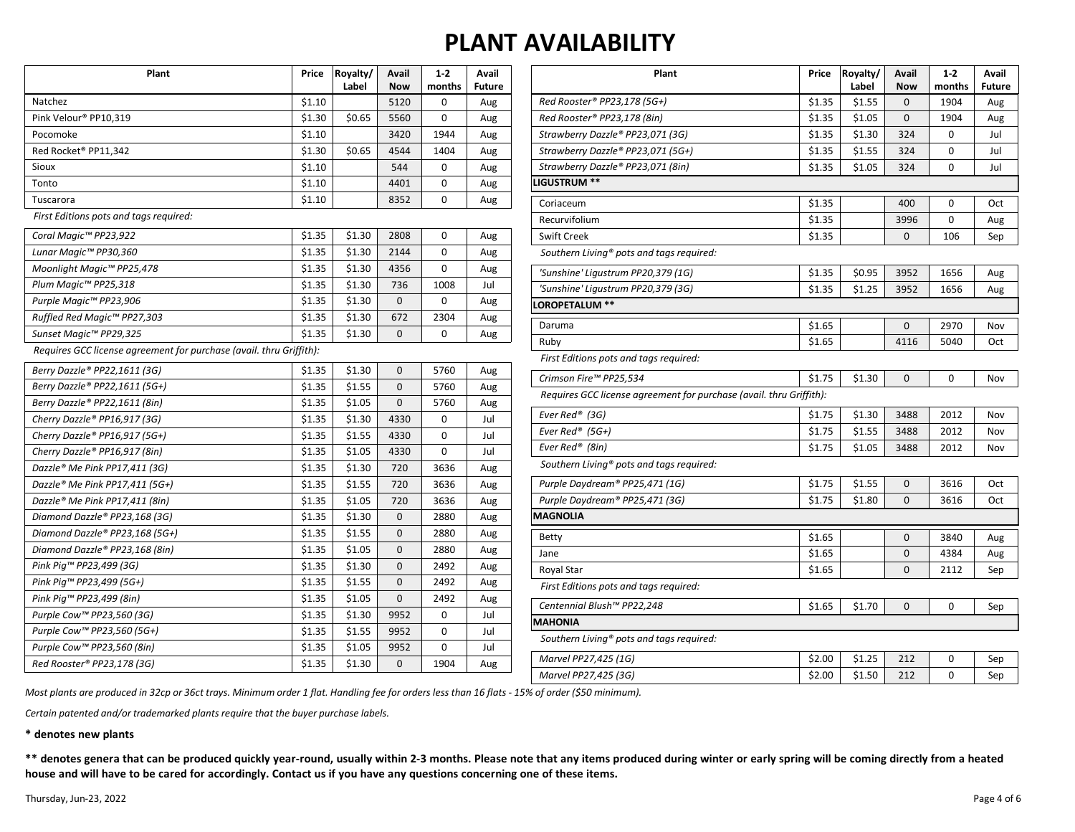| Plant                                                               | Price  | Royalty/<br>Label | Avail<br><b>Now</b> | $1 - 2$<br>months | Avail<br><b>Future</b> |
|---------------------------------------------------------------------|--------|-------------------|---------------------|-------------------|------------------------|
| Natchez                                                             | \$1.10 |                   | 5120                | 0                 | Aug                    |
| Pink Velour® PP10,319                                               | \$1.30 | \$0.65            | 5560                | 0                 | Aug                    |
| Pocomoke                                                            | \$1.10 |                   | 3420                | 1944              | Aug                    |
| Red Rocket® PP11,342                                                | \$1.30 | \$0.65            | 4544                | 1404              | Aug                    |
| Sioux                                                               | \$1.10 |                   | 544                 | 0                 | Aug                    |
| Tonto                                                               | \$1.10 |                   | 4401                | 0                 | Aug                    |
| Tuscarora                                                           | \$1.10 |                   | 8352                | 0                 | Aug                    |
| First Editions pots and tags required:                              |        |                   |                     |                   |                        |
| Coral Magic™ PP23,922                                               | \$1.35 | \$1.30            | 2808                | 0                 | Aug                    |
| Lunar Magic™ PP30,360                                               | \$1.35 | \$1.30            | 2144                | 0                 | Aug                    |
| Moonlight Magic™ PP25,478                                           | \$1.35 | \$1.30            | 4356                | 0                 | Aug                    |
| Plum Magic™ PP25,318                                                | \$1.35 | \$1.30            | 736                 | 1008              | Jul                    |
| Purple Magic™ PP23,906                                              | \$1.35 | \$1.30            | $\mathbf{0}$        | 0                 | Aug                    |
| Ruffled Red Magic™ PP27,303                                         | \$1.35 | \$1.30            | 672                 | 2304              | Aug                    |
| Sunset Magic™ PP29,325                                              | \$1.35 | \$1.30            | 0                   | 0                 | Aug                    |
| Requires GCC license agreement for purchase (avail. thru Griffith): |        |                   |                     |                   |                        |
| Berry Dazzle® PP22,1611 (3G)                                        | \$1.35 | \$1.30            | $\mathbf{0}$        | 5760              | Aug                    |
| Berry Dazzle® PP22,1611 (5G+)                                       | \$1.35 | \$1.55            | $\mathbf 0$         | 5760              | Aug                    |
| Berry Dazzle® PP22,1611 (8in)                                       | \$1.35 | \$1.05            | $\mathbf 0$         | 5760              | Aug                    |
| Cherry Dazzle® PP16,917 (3G)                                        | \$1.35 | \$1.30            | 4330                | 0                 | Jul                    |
| Cherry Dazzle® PP16,917 (5G+)                                       | \$1.35 | \$1.55            | 4330                | 0                 | Jul                    |
| Cherry Dazzle® PP16,917 (8in)                                       | \$1.35 | \$1.05            | 4330                | 0                 | Jul                    |
| Dazzle® Me Pink PP17,411 (3G)                                       | \$1.35 | \$1.30            | 720                 | 3636              | Aug                    |
| Dazzle® Me Pink PP17,411 (5G+)                                      | \$1.35 | \$1.55            | 720                 | 3636              | Aug                    |
| Dazzle® Me Pink PP17,411 (8in)                                      | \$1.35 | \$1.05            | 720                 | 3636              | Aug                    |
| Diamond Dazzle® PP23,168 (3G)                                       | \$1.35 | \$1.30            | $\mathbf{0}$        | 2880              | Aug                    |
| Diamond Dazzle® PP23,168 (5G+)                                      | \$1.35 | \$1.55            | $\mathbf 0$         | 2880              | Aug                    |
| Diamond Dazzle® PP23,168 (8in)                                      | \$1.35 | \$1.05            | $\bf 0$             | 2880              | Aug                    |
| Pink Pig™ PP23,499 (3G)                                             | \$1.35 | \$1.30            | 0                   | 2492              | Aug                    |
| Pink Pig™ PP23,499 (5G+)                                            | \$1.35 | \$1.55            | 0                   | 2492              | Aug                    |
| Pink Pig™ PP23,499 (8in)                                            | \$1.35 | \$1.05            | $\bf 0$             | 2492              | Aug                    |
| Purple Cow™ PP23,560 (3G)                                           | \$1.35 | \$1.30            | 9952                | 0                 | Jul                    |
| Purple Cow™ PP23,560 (5G+)                                          | \$1.35 | \$1.55            | 9952                | 0                 | Jul                    |
| Purple Cow™ PP23,560 (8in)                                          | \$1.35 | \$1.05            | 9952                | 0                 | Jul                    |
| Red Rooster® PP23,178 (3G)                                          | \$1.35 | \$1.30            | 0                   | 1904              | Aug                    |

| Plant                                                               | Price  | Royalty/<br>Label | Avail<br><b>Now</b> | $1 - 2$<br>months | Avail<br><b>Future</b> |
|---------------------------------------------------------------------|--------|-------------------|---------------------|-------------------|------------------------|
| Red Rooster® PP23,178 (5G+)                                         | \$1.35 | \$1.55            | 0                   | 1904              | Aug                    |
| Red Rooster® PP23,178 (8in)                                         | \$1.35 | \$1.05            | 0                   | 1904              | Aug                    |
| Strawberry Dazzle® PP23,071 (3G)                                    | \$1.35 | \$1.30            | 324                 | 0                 | Jul                    |
| Strawberry Dazzle® PP23,071 (5G+)                                   | \$1.35 | \$1.55            | 324                 | 0                 | Jul                    |
| Strawberry Dazzle® PP23,071 (8in)                                   | \$1.35 | \$1.05            | 324                 | 0                 | Jul                    |
| LIGUSTRUM **                                                        |        |                   |                     |                   |                        |
| Coriaceum                                                           | \$1.35 |                   | 400                 | 0                 | Oct                    |
| Recurvifolium                                                       | \$1.35 |                   | 3996                | 0                 | Aug                    |
| <b>Swift Creek</b>                                                  | \$1.35 |                   | 0                   | 106               | Sep                    |
| Southern Living® pots and tags required:                            |        |                   |                     |                   |                        |
| 'Sunshine' Ligustrum PP20,379 (1G)                                  | \$1.35 | \$0.95            | 3952                | 1656              | Aug                    |
| 'Sunshine' Ligustrum PP20,379 (3G)                                  | \$1.35 | \$1.25            | 3952                | 1656              | Aug                    |
| LOROPETALUM **                                                      |        |                   |                     |                   |                        |
| Daruma                                                              | \$1.65 |                   | 0                   | 2970              | Nov                    |
| Ruby                                                                | \$1.65 |                   | 4116                | 5040              | Oct                    |
| First Editions pots and tags required:                              |        |                   |                     |                   |                        |
| Crimson Fire™ PP25,534                                              | \$1.75 | \$1.30            | $\mathbf 0$         | 0                 | Nov                    |
| Requires GCC license agreement for purchase (avail. thru Griffith): |        |                   |                     |                   |                        |
| Ever Red® (3G)                                                      | \$1.75 | \$1.30            | 3488                | 2012              | Nov                    |
| Ever Red® (5G+)                                                     | \$1.75 | \$1.55            | 3488                | 2012              | Nov                    |
| Ever Red® (8in)                                                     | \$1.75 | \$1.05            | 3488                | 2012              | Nov                    |
| Southern Living® pots and tags required:                            |        |                   |                     |                   |                        |
| Purple Daydream® PP25,471 (1G)                                      | \$1.75 | \$1.55            | 0                   | 3616              | Oct                    |
| Purple Daydream® PP25,471 (3G)                                      | \$1.75 | \$1.80            | 0                   | 3616              | Oct                    |
| <b>MAGNOLIA</b>                                                     |        |                   |                     |                   |                        |
| <b>Betty</b>                                                        | \$1.65 |                   | 0                   | 3840              | Aug                    |
| Jane                                                                | \$1.65 |                   | 0                   | 4384              | Aug                    |
| Royal Star                                                          | \$1.65 |                   | 0                   | 2112              | Sep                    |
| First Editions pots and tags required:                              |        |                   |                     |                   |                        |
| Centennial Blush™ PP22,248                                          | \$1.65 | \$1.70            | 0                   | 0                 | Sep                    |
| <b>MAHONIA</b>                                                      |        |                   |                     |                   |                        |
| Southern Living <sup>®</sup> pots and tags required:                |        |                   |                     |                   |                        |
| Marvel PP27,425 (1G)                                                | \$2.00 | \$1.25            | 212                 | 0                 | Sep                    |

*Marvel PP27,425 (3G)* 62.00 \$1.50 212 0 Sep

*Most plants are produced in 32cp or 36ct trays. Minimum order 1 flat. Handling fee for orders less than 16 flats - 15% of order (\$50 minimum).*

*Certain patented and/or trademarked plants require that the buyer purchase labels.*

**\* denotes new plants**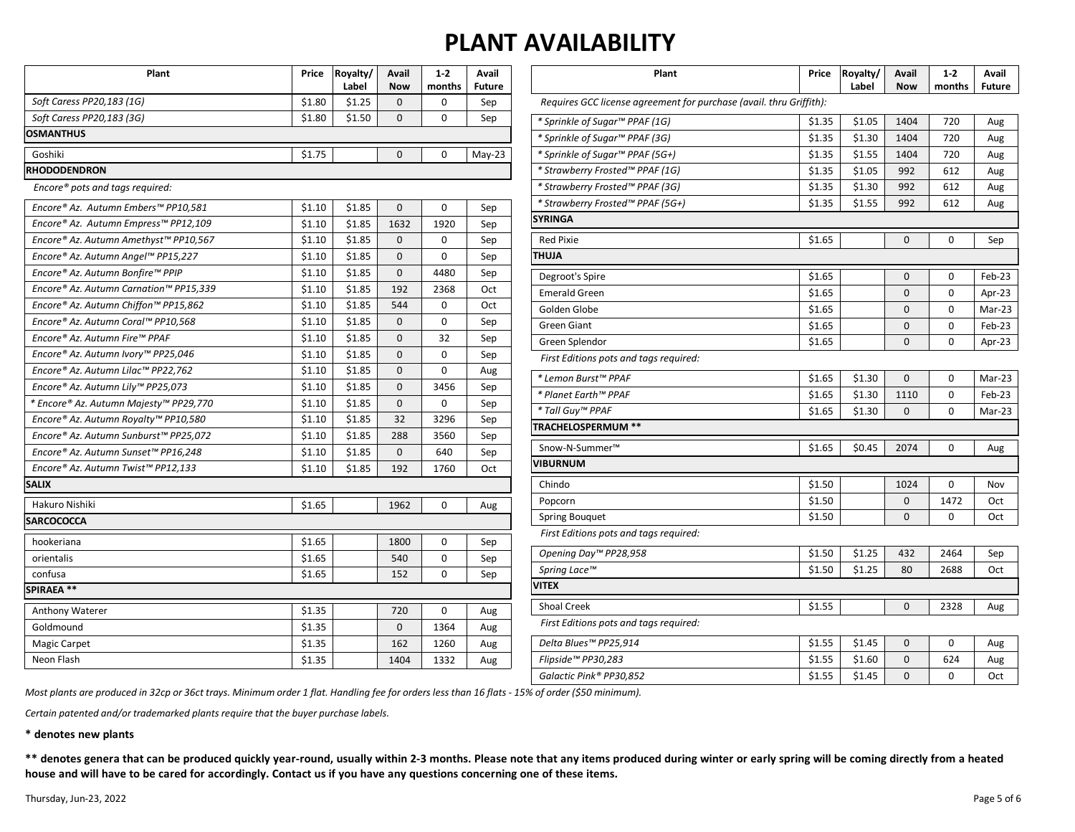| Plant                                  | Price  | Royalty/<br>Label | <b>Avail</b><br><b>Now</b> | $1 - 2$<br>months | Avail<br><b>Future</b> | Plant                                                               | Price  | Royalty/<br>Label | Avail<br><b>Now</b> | $1-2$<br>months | Avail<br><b>Future</b> |
|----------------------------------------|--------|-------------------|----------------------------|-------------------|------------------------|---------------------------------------------------------------------|--------|-------------------|---------------------|-----------------|------------------------|
| Soft Caress PP20,183 (1G)              | \$1.80 | \$1.25            | $\mathbf{0}$               | 0                 | Sep                    | Requires GCC license agreement for purchase (avail. thru Griffith): |        |                   |                     |                 |                        |
| Soft Caress PP20,183 (3G)              | \$1.80 | \$1.50            | 0                          | 0                 | Sep                    | * Sprinkle of Sugar™ PPAF (1G)                                      | \$1.35 | \$1.05            | 1404                | 720             | Aug                    |
| <b>OSMANTHUS</b>                       |        |                   |                            |                   |                        | * Sprinkle of Sugar™ PPAF (3G)                                      | \$1.35 | \$1.30            | 1404                | 720             | Aug                    |
| Goshiki                                | \$1.75 |                   | $\mathbf{0}$               | $\mathbf 0$       | $May-23$               | * Sprinkle of Sugar™ PPAF (5G+)                                     | \$1.35 | \$1.55            | 1404                | 720             | Aug                    |
| <b>RHODODENDRON</b>                    |        |                   |                            |                   |                        | * Strawberry Frosted™ PPAF (1G)                                     | \$1.35 | \$1.05            | 992                 | 612             | Aug                    |
| Encore® pots and tags required:        |        |                   |                            |                   |                        | * Strawberry Frosted™ PPAF (3G)                                     | \$1.35 | \$1.30            | 992                 | 612             | Aug                    |
| Encore® Az. Autumn Embers™ PP10,581    | \$1.10 | \$1.85            | $\mathbf{0}$               | $\mathbf 0$       | Sep                    | * Strawberry Frosted <sup>™</sup> PPAF (5G+)                        | \$1.35 | \$1.55            | 992                 | 612             | Aug                    |
| Encore® Az. Autumn Empress™ PP12,109   | \$1.10 | \$1.85            | 1632                       | 1920              | Sep                    | <b>SYRINGA</b>                                                      |        |                   |                     |                 |                        |
| Encore® Az. Autumn Amethyst™ PP10,567  | \$1.10 | \$1.85            | $\mathbf{0}$               | $\mathbf 0$       | Sep                    | <b>Red Pixie</b>                                                    | \$1.65 |                   | $\mathbf 0$         | $\mathbf 0$     | Sep                    |
| Encore® Az. Autumn Angel™ PP15,227     | \$1.10 | \$1.85            | 0                          | $\mathbf 0$       | Sep                    | <b>THUJA</b>                                                        |        |                   |                     |                 |                        |
| Encore® Az. Autumn Bonfire™ PPIP       | \$1.10 | \$1.85            | $\mathbf{0}$               | 4480              | Sep                    | Degroot's Spire                                                     | \$1.65 |                   | $\mathbf 0$         | $\mathbf 0$     | Feb-23                 |
| Encore® Az. Autumn Carnation™ PP15,339 | \$1.10 | \$1.85            | 192                        | 2368              | Oct                    | <b>Emerald Green</b>                                                | \$1.65 |                   | $\mathbf 0$         | 0               | Apr-23                 |
| Encore® Az. Autumn Chiffon™ PP15,862   | \$1.10 | \$1.85            | 544                        | $\mathbf 0$       | Oct                    | Golden Globe                                                        | \$1.65 |                   | $\mathbf 0$         | $\mathbf 0$     | Mar-23                 |
| Encore® Az. Autumn Coral™ PP10,568     | \$1.10 | \$1.85            | 0                          | 0                 | Sep                    | <b>Green Giant</b>                                                  | \$1.65 |                   | $\mathbf 0$         | 0               | Feb-23                 |
| Encore® Az. Autumn Fire™ PPAF          | \$1.10 | \$1.85            | $\Omega$                   | 32                | Sep                    | Green Splendor                                                      | \$1.65 |                   | $\Omega$            | $\Omega$        | Apr-23                 |
| Encore® Az. Autumn Ivory™ PP25,046     | \$1.10 | \$1.85            | $\mathbf{0}$               | $\mathbf 0$       | Sep                    | First Editions pots and tags required:                              |        |                   |                     |                 |                        |
| Encore® Az. Autumn Lilac™ PP22,762     | \$1.10 | \$1.85            | $\mathbf{0}$               | $\mathsf 0$       | Aug                    | * Lemon Burst™ PPAF                                                 | \$1.65 | \$1.30            | $\mathbf 0$         | $\mathbf 0$     | Mar-23                 |
| Encore® Az. Autumn Lily™ PP25,073      | \$1.10 | \$1.85            | $\mathbf{0}$               | 3456              | Sep                    | * Planet Earth™ PPAF                                                | \$1.65 | \$1.30            | 1110                | 0               | Feb-23                 |
| * Encore® Az. Autumn Majesty™ PP29,770 | \$1.10 | \$1.85            | $\mathbf{0}$               | $\mathbf 0$       | Sep                    | * Tall Guy™ PPAF                                                    | \$1.65 | \$1.30            | $\Omega$            | 0               | Mar-23                 |
| Encore® Az. Autumn Royalty™ PP10,580   | \$1.10 | \$1.85            | 32                         | 3296              | Sep                    | <b>TRACHELOSPERMUM **</b>                                           |        |                   |                     |                 |                        |
| Encore® Az. Autumn Sunburst™ PP25,072  | \$1.10 | \$1.85            | 288                        | 3560              | Sep                    |                                                                     |        |                   |                     |                 |                        |
| Encore® Az. Autumn Sunset™ PP16,248    | \$1.10 | \$1.85            | $\mathbf 0$                | 640               | Sep                    | Snow-N-Summer <sup>™</sup>                                          | \$1.65 | \$0.45            | 2074                | $\mathbf 0$     | Aug                    |
| Encore® Az. Autumn Twist™ PP12,133     | \$1.10 | \$1.85            | 192                        | 1760              | Oct                    | <b>VIBURNUM</b>                                                     |        |                   |                     |                 |                        |
| <b>SALIX</b>                           |        |                   |                            |                   |                        | Chindo                                                              | \$1.50 |                   | 1024                | $\mathbf 0$     | Nov                    |
| Hakuro Nishiki                         | \$1.65 |                   | 1962                       | $\mathbf 0$       | Aug                    | Popcorn                                                             | \$1.50 |                   | $\mathbf 0$         | 1472            | Oct                    |
| <b>SARCOCOCCA</b>                      |        |                   |                            |                   |                        | <b>Spring Bouquet</b>                                               | \$1.50 |                   | $\Omega$            | $\Omega$        | Oct                    |
| hookeriana                             | \$1.65 |                   | 1800                       | $\mathbf 0$       | Sep                    | First Editions pots and tags required:                              |        |                   |                     |                 |                        |
| orientalis                             | \$1.65 |                   | 540                        | $\mathsf 0$       | Sep                    | Opening Day™ PP28,958                                               | \$1.50 | \$1.25            | 432                 | 2464            | Sep                    |
| confusa                                | \$1.65 |                   | 152                        | $\mathbf 0$       | Sep                    | Spring Lace™                                                        | \$1.50 | \$1.25            | 80                  | 2688            | Oct                    |
| <b>SPIRAEA**</b>                       |        |                   |                            |                   |                        | <b>VITEX</b>                                                        |        |                   |                     |                 |                        |
| Anthony Waterer                        | \$1.35 |                   | 720                        | 0                 | Aug                    | Shoal Creek                                                         | \$1.55 |                   | $\mathbf 0$         | 2328            | Aug                    |
| Goldmound                              | \$1.35 |                   | $\mathbf{0}$               | 1364              | Aug                    | First Editions pots and tags required:                              |        |                   |                     |                 |                        |
| Magic Carpet                           | \$1.35 |                   | 162                        | 1260              | Aug                    | Delta Blues™ PP25,914                                               | \$1.55 | \$1.45            | $\mathbf{0}$        | 0               | Aug                    |
| Neon Flash                             | \$1.35 |                   | 1404                       | 1332              | Aug                    | Flipside™ PP30,283                                                  | \$1.55 | \$1.60            | $\mathbf 0$         | 624             | Aug                    |
|                                        |        |                   |                            |                   |                        | Galactic Pink® PP30,852                                             | \$1.55 | \$1.45            | $\Omega$            | $\Omega$        | Oct                    |

*Most plants are produced in 32cp or 36ct trays. Minimum order 1 flat. Handling fee for orders less than 16 flats - 15% of order (\$50 minimum).*

*Certain patented and/or trademarked plants require that the buyer purchase labels.*

**\* denotes new plants**